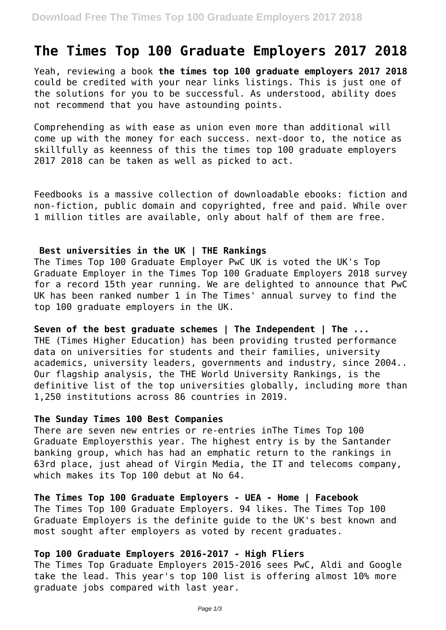# **The Times Top 100 Graduate Employers 2017 2018**

Yeah, reviewing a book **the times top 100 graduate employers 2017 2018** could be credited with your near links listings. This is just one of the solutions for you to be successful. As understood, ability does not recommend that you have astounding points.

Comprehending as with ease as union even more than additional will come up with the money for each success. next-door to, the notice as skillfully as keenness of this the times top 100 graduate employers 2017 2018 can be taken as well as picked to act.

Feedbooks is a massive collection of downloadable ebooks: fiction and non-fiction, public domain and copyrighted, free and paid. While over 1 million titles are available, only about half of them are free.

## **Best universities in the UK | THE Rankings**

The Times Top 100 Graduate Employer PwC UK is voted the UK's Top Graduate Employer in the Times Top 100 Graduate Employers 2018 survey for a record 15th year running. We are delighted to announce that PwC UK has been ranked number 1 in The Times' annual survey to find the top 100 graduate employers in the UK.

**Seven of the best graduate schemes | The Independent | The ...** THE (Times Higher Education) has been providing trusted performance data on universities for students and their families, university academics, university leaders, governments and industry, since 2004.. Our flagship analysis, the THE World University Rankings, is the definitive list of the top universities globally, including more than 1,250 institutions across 86 countries in 2019.

## **The Sunday Times 100 Best Companies**

There are seven new entries or re-entries inThe Times Top 100 Graduate Employersthis year. The highest entry is by the Santander banking group, which has had an emphatic return to the rankings in 63rd place, just ahead of Virgin Media, the IT and telecoms company, which makes its Top 100 debut at No 64.

**The Times Top 100 Graduate Employers - UEA - Home | Facebook** The Times Top 100 Graduate Employers. 94 likes. The Times Top 100 Graduate Employers is the definite guide to the UK's best known and most sought after employers as voted by recent graduates.

## **Top 100 Graduate Employers 2016-2017 - High Fliers**

The Times Top Graduate Employers 2015-2016 sees PwC, Aldi and Google take the lead. This year's top 100 list is offering almost 10% more graduate jobs compared with last year.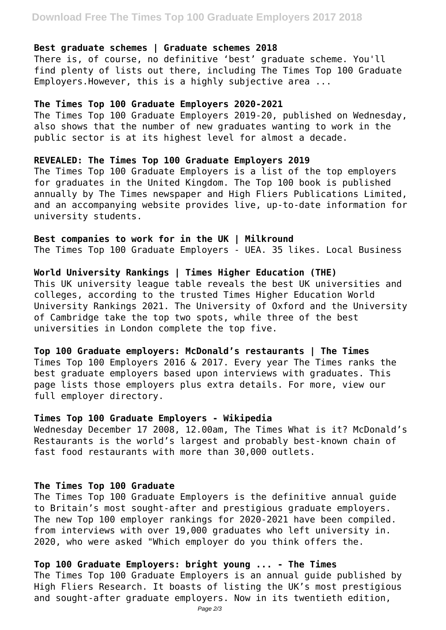# **Download Free The Times Top 100 Graduate Employers 2017 2018**

#### **Best graduate schemes | Graduate schemes 2018**

There is, of course, no definitive 'best' graduate scheme. You'll find plenty of lists out there, including The Times Top 100 Graduate Employers.However, this is a highly subjective area ...

## **The Times Top 100 Graduate Employers 2020-2021**

The Times Top 100 Graduate Employers 2019-20, published on Wednesday, also shows that the number of new graduates wanting to work in the public sector is at its highest level for almost a decade.

## **REVEALED: The Times Top 100 Graduate Employers 2019**

The Times Top 100 Graduate Employers is a list of the top employers for graduates in the United Kingdom. The Top 100 book is published annually by The Times newspaper and High Fliers Publications Limited, and an accompanying website provides live, up-to-date information for university students.

**Best companies to work for in the UK | Milkround** The Times Top 100 Graduate Employers - UEA. 35 likes. Local Business

## **World University Rankings | Times Higher Education (THE)**

This UK university league table reveals the best UK universities and colleges, according to the trusted Times Higher Education World University Rankings 2021. The University of Oxford and the University of Cambridge take the top two spots, while three of the best universities in London complete the top five.

## **Top 100 Graduate employers: McDonald's restaurants | The Times**

Times Top 100 Employers 2016 & 2017. Every year The Times ranks the best graduate employers based upon interviews with graduates. This page lists those employers plus extra details. For more, view our full employer directory.

## **Times Top 100 Graduate Employers - Wikipedia**

Wednesday December 17 2008, 12.00am, The Times What is it? McDonald's Restaurants is the world's largest and probably best-known chain of fast food restaurants with more than 30,000 outlets.

## **The Times Top 100 Graduate**

The Times Top 100 Graduate Employers is the definitive annual guide to Britain's most sought-after and prestigious graduate employers. The new Top 100 employer rankings for 2020-2021 have been compiled. from interviews with over 19,000 graduates who left university in. 2020, who were asked "Which employer do you think offers the.

## **Top 100 Graduate Employers: bright young ... - The Times**

The Times Top 100 Graduate Employers is an annual guide published by High Fliers Research. It boasts of listing the UK's most prestigious and sought-after graduate employers. Now in its twentieth edition,